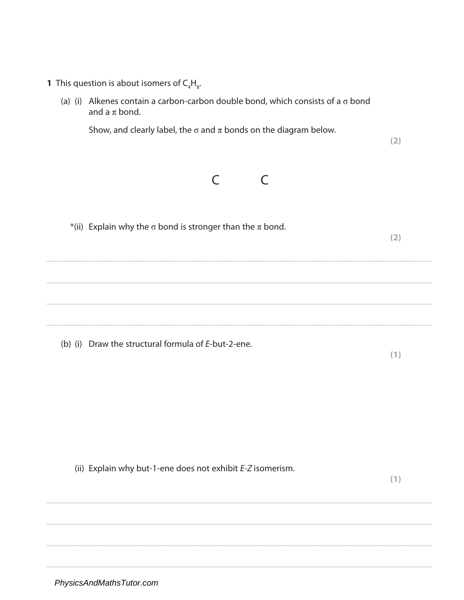- **1** This question is about isomers of  $C_4H_g$ .
	- (a) (i) Alkenes contain a carbon-carbon double bond, which consists of a  $\sigma$  bond and a  $\pi$  bond.

Show, and clearly label, the  $\sigma$  and  $\pi$  bonds on the diagram below.



\*(ii) Explain why the  $\sigma$  bond is stronger than the  $\pi$  bond.  $(2)$ 

(b) (i) Draw the structural formula of E-but-2-ene.

 $(1)$ 

 $(2)$ 

(ii) Explain why but-1-ene does not exhibit E-Z isomerism.

 $(1)$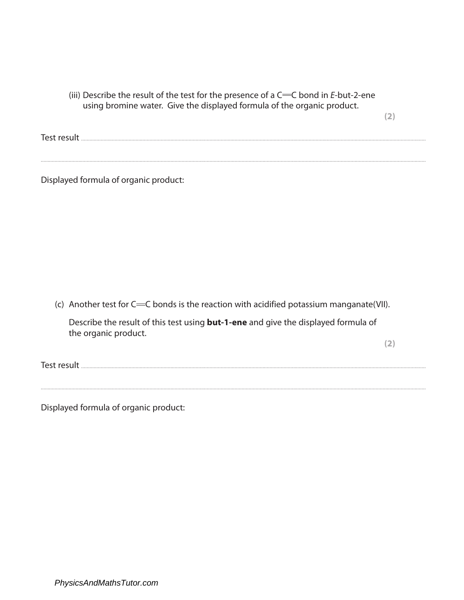(iii) Describe the result of the test for the presence of a  $C=C$  bond in E-but-2-ene using bromine water. Give the displayed formula of the organic product.

 $(2)$ 

Displayed formula of organic product:

(c) Another test for  $C = C$  bonds is the reaction with acidified potassium manganate (VII).

Describe the result of this test using **but-1-ene** and give the displayed formula of the organic product.

 $(2)$ 

Displayed formula of organic product: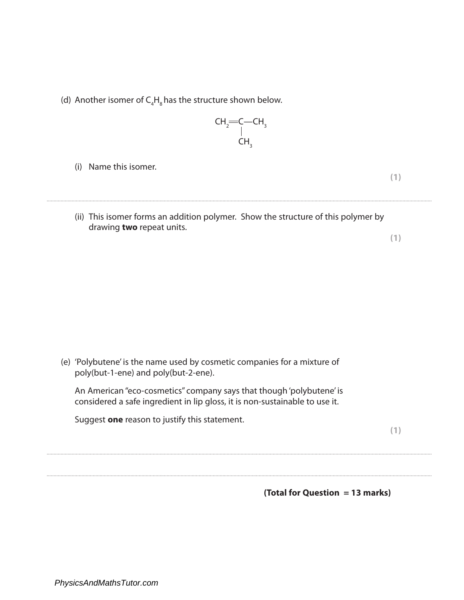(d) Another isomer of  $\mathsf{C}_4\mathsf{H}_8$  has the structure shown below.

$$
\begin{matrix} \text{CH}_2\text{=} \text{C--CH}_3 \\ \text{C--CH}_3 \\ \text{CH}_3 \end{matrix}
$$

(i) Name this isomer.

**(1)**

(ii) This isomer forms an addition polymer. Show the structure of this polymer by drawing **two** repeat units.

....................................................................................................................................................................................................................................................................................

**(1)**

(e) 'Polybutene' is the name used by cosmetic companies for a mixture of poly(but-1-ene) and poly(but-2-ene).

An American "eco-cosmetics" company says that though 'polybutene' is considered a safe ingredient in lip gloss, it is non-sustainable to use it.

....................................................................................................................................................................................................................................................................................

....................................................................................................................................................................................................................................................................................

Suggest **one** reason to justify this statement.

**(1)**

**(Total for Question = 13 marks)**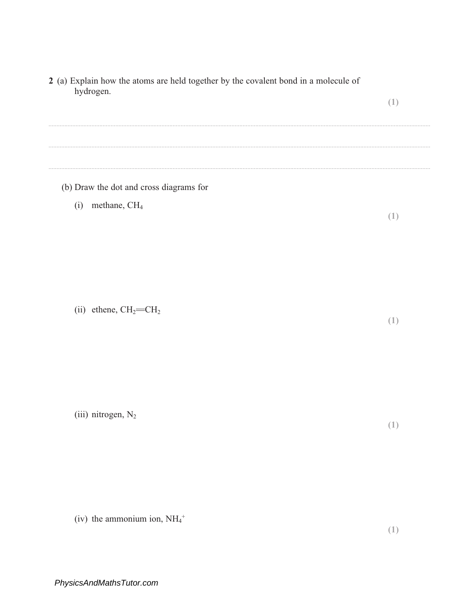| 2 (a) Explain how the atoms are held together by the covalent bond in a molecule of<br>hydrogen. | (1) |
|--------------------------------------------------------------------------------------------------|-----|
|                                                                                                  |     |
| (b) Draw the dot and cross diagrams for                                                          |     |
| methane, CH <sub>4</sub><br>(i)                                                                  | (1) |
|                                                                                                  |     |
|                                                                                                  |     |
|                                                                                                  |     |
| (ii) ethene, $CH_2=CH_2$                                                                         | (1) |
|                                                                                                  |     |
|                                                                                                  |     |
|                                                                                                  |     |
| (iii) nitrogen, $N_2$                                                                            | (1) |
|                                                                                                  |     |
|                                                                                                  |     |
|                                                                                                  |     |

(iv) the ammonium ion,  $NH_4^+$ 

 $(1)$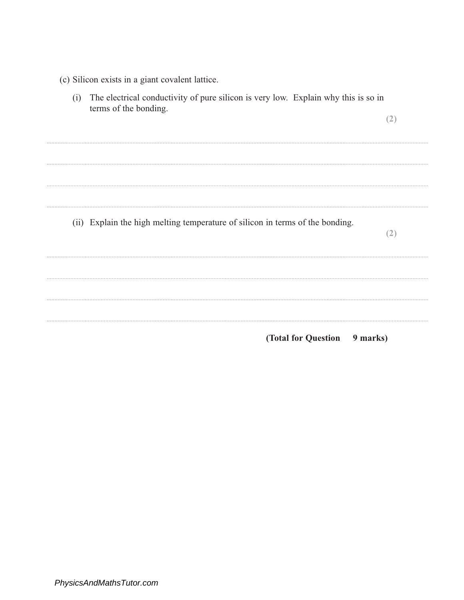- (c) Silicon exists in a giant covalent lattice.
- (i) The electrical conductivity of pure silicon is very low. Explain why this is so in terms of the bonding.  $(2)$  $\frac{1}{2}$  . The contract of the contract of the contract of the contract of the contract of the contract of the contract of the contract of the contract of the contract of the contract of the contract of the contract of t
	- (ii) Explain the high melting temperature of silicon in terms of the bonding.

(Total for Question 9 marks)

 $(2)$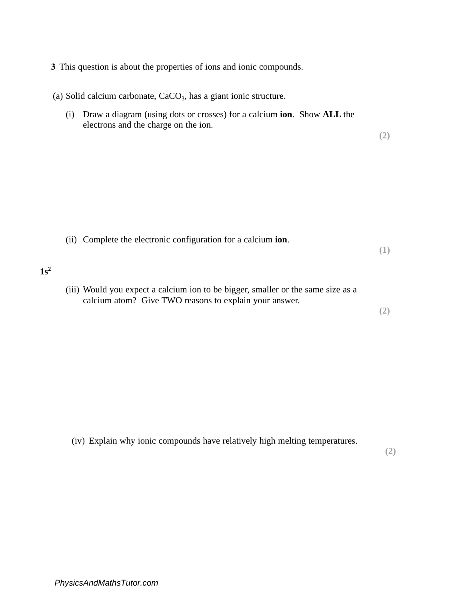- **3** This question is about the properties of ions and ionic compounds.
- (a) Solid calcium carbonate, CaCO<sub>3</sub>, has a giant ionic structure.
	- (i) Draw a diagram (using dots or crosses) for a calcium **ion**. Show **ALL** the electrons and the charge on the ion.

(ii) Complete the electronic configuration for a calcium **ion**.

**(1)**

**(2)**

## **1s2**

(iii) Would you expect a calcium ion to be bigger, smaller or the same size as a calcium atom? Give TWO reasons to explain your answer.

**(2)**

(iv) Explain why ionic compounds have relatively high melting temperatures.

**(2)**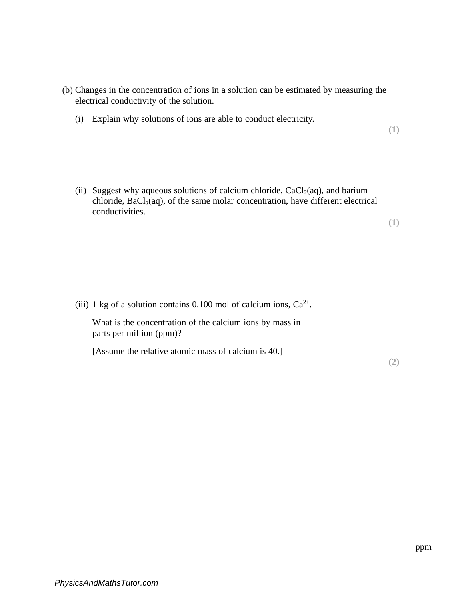- (b) Changes in the concentration of ions in a solution can be estimated by measuring the electrical conductivity of the solution.
	- (i) Explain why solutions of ions are able to conduct electricity.

**(1)**

(ii) Suggest why aqueous solutions of calcium chloride,  $CaCl<sub>2</sub>(aq)$ , and barium chloride,  $BaCl<sub>2</sub>(aq)$ , of the same molar concentration, have different electrical conductivities.

**(1)**

(iii) 1 kg of a solution contains 0.100 mol of calcium ions,  $Ca^{2+}$ .

What is the concentration of the calcium ions by mass in parts per million (ppm)?

[Assume the relative atomic mass of calcium is 40.]

**(2)**